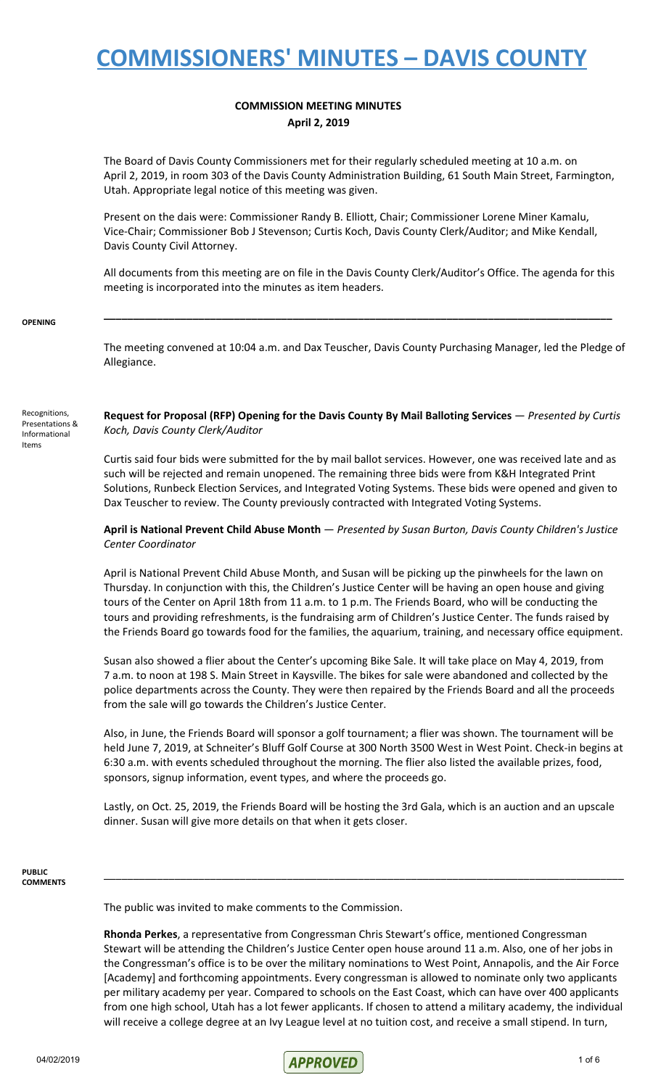### **COMMISSION MEETING MINUTES April 2, 2019**

The Board of Davis County Commissioners met for their regularly scheduled meeting at 10 a.m. on April 2, 2019, in room 303 of the Davis County Administration Building, 61 South Main Street, Farmington, Utah. Appropriate legal notice of this meeting was given.

Present on the dais were: Commissioner Randy B. Elliott, Chair; Commissioner Lorene Miner Kamalu, Vice-Chair; Commissioner Bob J Stevenson; Curtis Koch, Davis County Clerk/Auditor; and Mike Kendall, Davis County Civil Attorney.

All documents from this meeting are on file in the Davis County Clerk/Auditor's Office. The agenda for this meeting is incorporated into the minutes as item headers.

**\_\_\_\_\_\_\_\_\_\_\_\_\_\_\_\_\_\_\_\_\_\_\_\_\_\_\_\_\_\_\_\_\_\_\_\_\_\_\_\_\_\_\_\_\_\_\_\_\_\_\_\_\_\_\_\_\_\_\_\_\_\_\_\_\_\_\_\_\_\_\_\_\_\_\_\_\_\_\_\_\_\_\_\_\_\_**

#### **OPENING**

The meeting convened at 10:04 a.m. and Dax Teuscher, Davis County Purchasing Manager, led the Pledge of Allegiance.

Recognitions, Presentations & Informational Items

**Request for Proposal (RFP) Opening for the Davis County By Mail Balloting Services** — *Presented by Curtis Koch, Davis County Clerk/Auditor*

Curtis said four bids were submitted for the by mail ballot services. However, one was received late and as such will be rejected and remain unopened. The remaining three bids were from K&H Integrated Print Solutions, Runbeck Election Services, and Integrated Voting Systems. These bids were opened and given to Dax Teuscher to review. The County previously contracted with Integrated Voting Systems.

**April is National Prevent Child Abuse Month** — *Presented by Susan Burton, Davis County Children's Justice Center Coordinator*

April is National Prevent Child Abuse Month, and Susan will be picking up the pinwheels for the lawn on Thursday. In conjunction with this, the Children's Justice Center will be having an open house and giving tours of the Center on April 18th from 11 a.m. to 1 p.m. The Friends Board, who will be conducting the tours and providing refreshments, is the fundraising arm of Children's Justice Center. The funds raised by the Friends Board go towards food for the families, the aquarium, training, and necessary office equipment.

Susan also showed a flier about the Center's upcoming Bike Sale. It will take place on May 4, 2019, from 7 a.m. to noon at 198 S. Main Street in Kaysville. The bikes for sale were abandoned and collected by the police departments across the County. They were then repaired by the Friends Board and all the proceeds from the sale will go towards the Children's Justice Center.

Also, in June, the Friends Board will sponsor a golf tournament; a flier was shown. The tournament will be held June 7, 2019, at Schneiter's Bluff Golf Course at 300 North 3500 West in West Point. Check-in begins at 6:30 a.m. with events scheduled throughout the morning. The flier also listed the available prizes, food, sponsors, signup information, event types, and where the proceeds go.

Lastly, on Oct. 25, 2019, the Friends Board will be hosting the 3rd Gala, which is an auction and an upscale dinner. Susan will give more details on that when it gets closer.

\_\_\_\_\_\_\_\_\_\_\_\_\_\_\_\_\_\_\_\_\_\_\_\_\_\_\_\_\_\_\_\_\_\_\_\_\_\_\_\_\_\_\_\_\_\_\_\_\_\_\_\_\_\_\_\_\_\_\_\_\_\_\_\_\_\_\_\_\_\_\_\_\_\_\_\_\_\_\_\_\_\_\_\_\_\_\_\_

#### **PUBLIC COMMENTS**

The public was invited to make comments to the Commission.

**Rhonda Perkes**, a representative from Congressman Chris Stewart's office, mentioned Congressman Stewart will be attending the Children's Justice Center open house around 11 a.m. Also, one of her jobs in the Congressman's office is to be over the military nominations to West Point, Annapolis, and the Air Force [Academy] and forthcoming appointments. Every congressman is allowed to nominate only two applicants per military academy per year. Compared to schools on the East Coast, which can have over 400 applicants from one high school, Utah has a lot fewer applicants. If chosen to attend a military academy, the individual will receive a college degree at an Ivy League level at no tuition cost, and receive a small stipend. In turn,

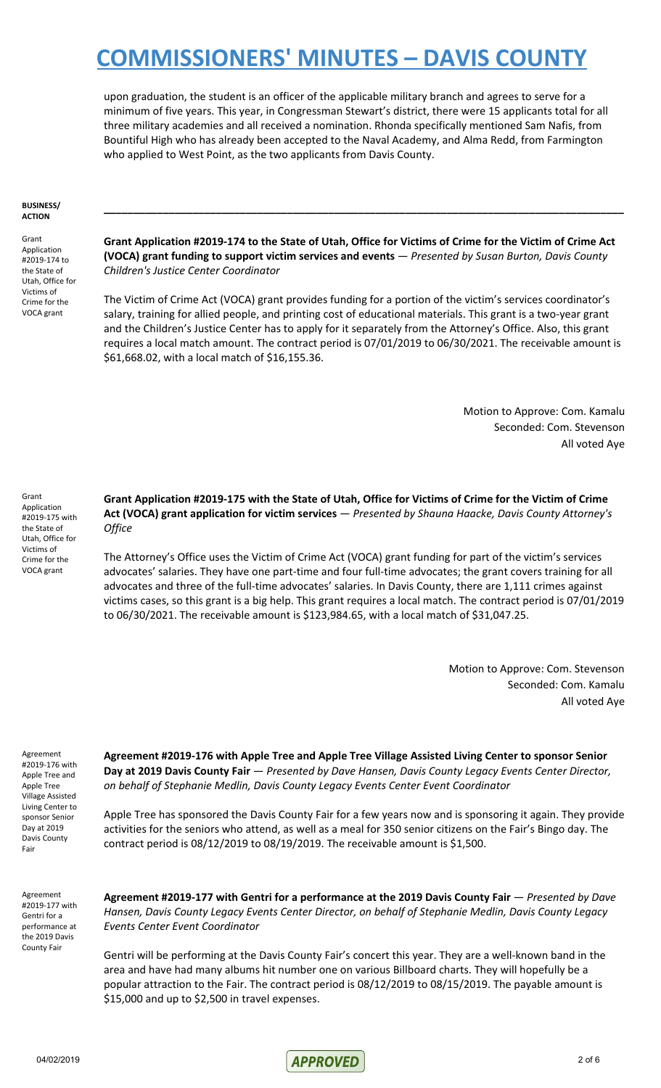upon graduation, the student is an officer of the applicable military branch and agrees to serve for a minimum of five years. This year, in Congressman Stewart's district, there were 15 applicants total for all three military academies and all received a nomination. Rhonda specifically mentioned Sam Nafis, from Bountiful High who has already been accepted to the Naval Academy, and Alma Redd, from Farmington who applied to West Point, as the two applicants from Davis County.

#### **BUSINESS/ ACTION**

Grant Application #2019-174 to the State of Utah, Office for Victims of Crime for the VOCA grant

Grant Application #2019-174 to the State of Utah, Office for Victims of Crime for the Victim of Crime Act **(VOCA) grant funding to support victim services and events** — *Presented by Susan Burton, Davis County Children's Justice Center Coordinator*

**\_\_\_\_\_\_\_\_\_\_\_\_\_\_\_\_\_\_\_\_\_\_\_\_\_\_\_\_\_\_\_\_\_\_\_\_\_\_\_\_\_\_\_\_\_\_\_\_\_\_\_\_\_\_\_\_\_\_\_\_\_\_\_\_\_\_\_\_\_\_\_\_\_\_\_\_\_\_\_\_\_\_\_\_\_\_\_\_**

The Victim of Crime Act (VOCA) grant provides funding for a portion of the victim's services coordinator's salary, training for allied people, and printing cost of educational materials. This grant is a two-year grant and the Children's Justice Center has to apply for it separately from the Attorney's Office. Also, this grant requires a local match amount. The contract period is 07/01/2019 to 06/30/2021. The receivable amount is \$61,668.02, with a local match of \$16,155.36.

> Motion to Approve: Com. Kamalu Seconded: Com. Stevenson All voted Aye

Grant Application #2019-175 with the State of Utah, Office for Victims of Crime for the VOCA grant

Grant Application #2019-175 with the State of Utah, Office for Victims of Crime for the Victim of Crime **Act (VOCA) grant application for victim services** — *Presented by Shauna Haacke, Davis County Attorney's Office*

The Attorney's Office uses the Victim of Crime Act (VOCA) grant funding for part of the victim's services advocates' salaries. They have one part-time and four full-time advocates; the grant covers training for all advocates and three of the full-time advocates' salaries. In Davis County, there are 1,111 crimes against victims cases, so this grant is a big help. This grant requires a local match. The contract period is 07/01/2019 to 06/30/2021. The receivable amount is \$123,984.65, with a local match of \$31,047.25.

> Motion to Approve: Com. Stevenson Seconded: Com. Kamalu All voted Aye

Agreement #2019-176 with Apple Tree and Apple Tree Village Assisted Living Center to sponsor Senior Day at 2019 Davis County Fair

**Agreement #2019-176 with Apple Tree and Apple Tree Village Assisted Living Center to sponsor Senior Day at 2019 Davis County Fair** — *Presented by Dave Hansen, Davis County Legacy Events Center Director, on behalf of Stephanie Medlin, Davis County Legacy Events Center Event Coordinator*

Apple Tree has sponsored the Davis County Fair for a few years now and is sponsoring it again. They provide activities for the seniors who attend, as well as a meal for 350 senior citizens on the Fair's Bingo day. The contract period is 08/12/2019 to 08/19/2019. The receivable amount is \$1,500.

Agreement #2019-177 with Gentri for a performance at the 2019 Davis County Fair

**Agreement #2019-177 with Gentri for a performance at the 2019 Davis County Fair** — *Presented by Dave Hansen, Davis County Legacy Events Center Director, on behalf of Stephanie Medlin, Davis County Legacy Events Center Event Coordinator*

Gentri will be performing at the Davis County Fair's concert this year. They are a well-known band in the area and have had many albums hit number one on various Billboard charts. They will hopefully be a popular attraction to the Fair. The contract period is 08/12/2019 to 08/15/2019. The payable amount is \$15,000 and up to \$2,500 in travel expenses.

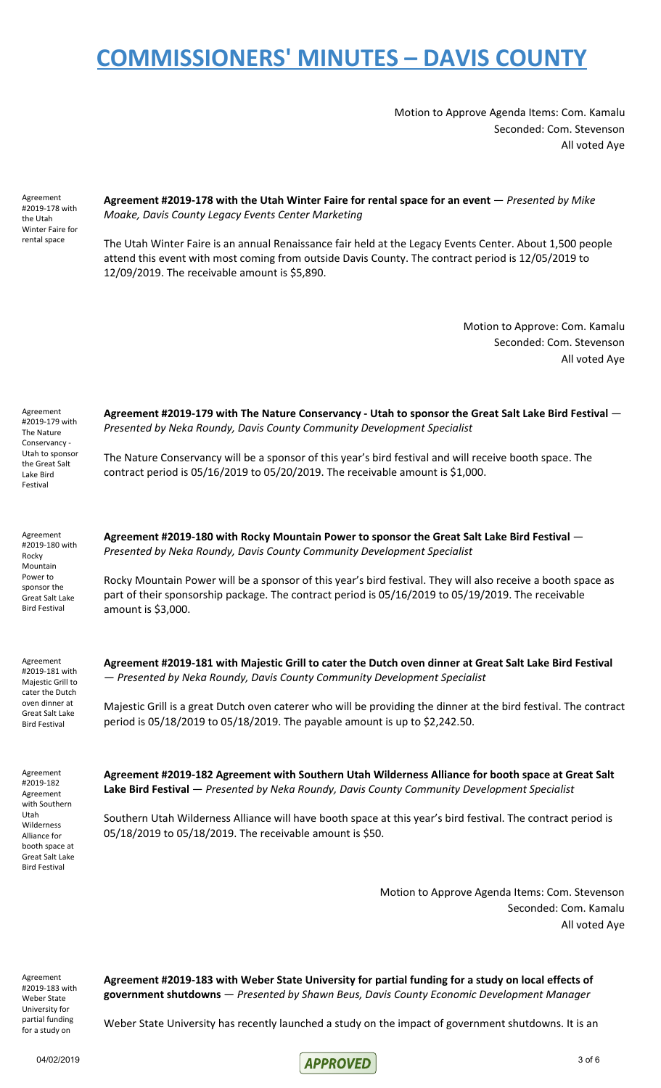Motion to Approve Agenda Items: Com. Kamalu Seconded: Com. Stevenson All voted Aye

Agreement #2019-178 with the Utah Winter Faire for rental space

**Agreement #2019-178 with the Utah Winter Faire for rental space for an event** — *Presented by Mike Moake, Davis County Legacy Events Center Marketing*

The Utah Winter Faire is an annual Renaissance fair held at the Legacy Events Center. About 1,500 people attend this event with most coming from outside Davis County. The contract period is 12/05/2019 to 12/09/2019. The receivable amount is \$5,890.

> Motion to Approve: Com. Kamalu Seconded: Com. Stevenson All voted Aye

Agreement #2019-179 with The Nature Conservancy - Utah to sponsor the Great Salt Lake Bird Festival

**Agreement #2019-179 with The Nature Conservancy - Utah to sponsor the Great Salt Lake Bird Festival** — *Presented by Neka Roundy, Davis County Community Development Specialist*

The Nature Conservancy will be a sponsor of this year's bird festival and will receive booth space. The contract period is 05/16/2019 to 05/20/2019. The receivable amount is \$1,000.

**Agreement #2019-180 with Rocky Mountain Power to sponsor the Great Salt Lake Bird Festival** —

*Presented by Neka Roundy, Davis County Community Development Specialist*

Agreement #2019-180 with Rocky Mountain Power to sponsor the Great Salt Lake Bird Festival

amount is \$3,000.

Rocky Mountain Power will be a sponsor of this year's bird festival. They will also receive a booth space as part of their sponsorship package. The contract period is 05/16/2019 to 05/19/2019. The receivable

Agreement #2019-181 with Majestic Grill to cater the Dutch oven dinner at Great Salt Lake Bird Festival

**Agreement #2019-181 with Majestic Grill to cater the Dutch oven dinner at Great Salt Lake Bird Festival** — *Presented by Neka Roundy, Davis County Community Development Specialist*

Majestic Grill is a great Dutch oven caterer who will be providing the dinner at the bird festival. The contract period is 05/18/2019 to 05/18/2019. The payable amount is up to \$2,242.50.

Agreement #2019-182 Agreement with Southern Utah Wilderness Alliance for booth space at Great Salt Lake Bird Festival

**Agreement #2019-182 Agreement with Southern Utah Wilderness Alliance for booth space at Great Salt Lake Bird Festival** — *Presented by Neka Roundy, Davis County Community Development Specialist*

Southern Utah Wilderness Alliance will have booth space at this year's bird festival. The contract period is 05/18/2019 to 05/18/2019. The receivable amount is \$50.

> Motion to Approve Agenda Items: Com. Stevenson Seconded: Com. Kamalu All voted Aye

Agreement #2019-183 with Weber State University for partial funding for a study on

**Agreement #2019-183 with Weber State University for partial funding for a study on local effects of government shutdowns** — *Presented by Shawn Beus, Davis County Economic Development Manager*

Weber State University has recently launched a study on the impact of government shutdowns. It is an

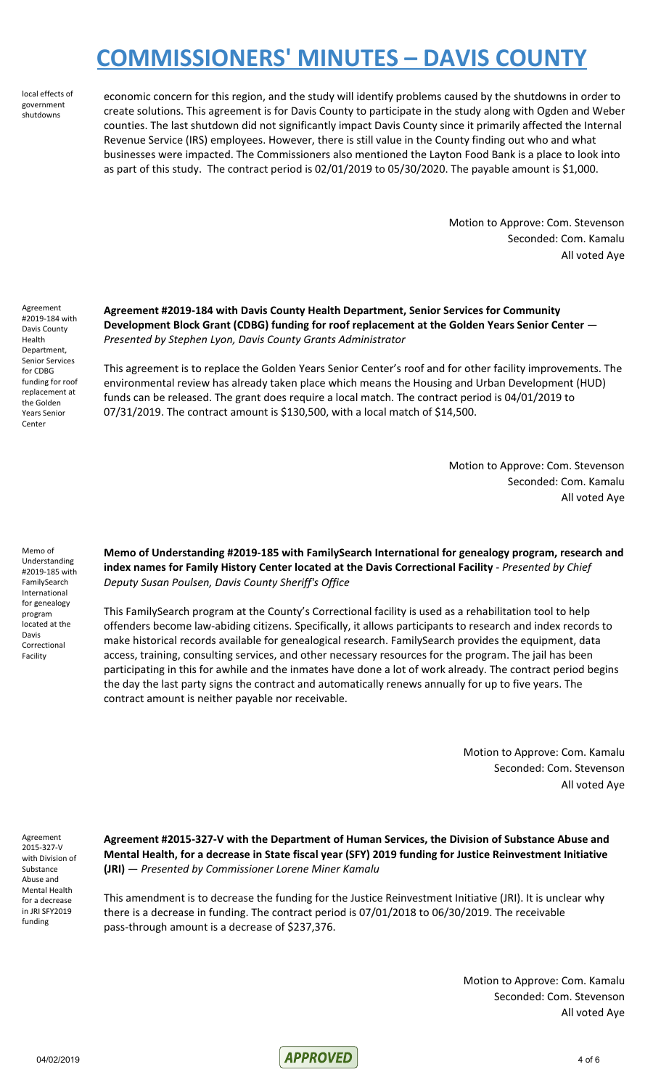local effects of government shutdowns

economic concern for this region, and the study will identify problems caused by the shutdowns in order to create solutions. This agreement is for Davis County to participate in the study along with Ogden and Weber counties. The last shutdown did not significantly impact Davis County since it primarily affected the Internal Revenue Service (IRS) employees. However, there is still value in the County finding out who and what businesses were impacted. The Commissioners also mentioned the Layton Food Bank is a place to look into as part of this study. The contract period is 02/01/2019 to 05/30/2020. The payable amount is \$1,000.

> Motion to Approve: Com. Stevenson Seconded: Com. Kamalu All voted Aye

Agreement #2019-184 with Davis County Health Department, Senior Services for CDBG funding for roof replacement at the Golden Years Senior Center

**Agreement #2019-184 with Davis County Health Department, Senior Services for Community Development Block Grant (CDBG) funding for roof replacement at the Golden Years Senior Center** — *Presented by Stephen Lyon, Davis County Grants Administrator*

This agreement is to replace the Golden Years Senior Center's roof and for other facility improvements. The environmental review has already taken place which means the Housing and Urban Development (HUD) funds can be released. The grant does require a local match. The contract period is 04/01/2019 to 07/31/2019. The contract amount is \$130,500, with a local match of \$14,500.

> Motion to Approve: Com. Stevenson Seconded: Com. Kamalu All voted Aye

Memo of Understanding #2019-185 with FamilySearch International for genealogy program located at the Davis Correctional Facility

**Memo of Understanding #2019-185 with FamilySearch International for genealogy program, research and index names for Family History Center located at the Davis Correctional Facility** - *Presented by Chief Deputy Susan Poulsen, Davis County Sheriff's Office*

This FamilySearch program at the County's Correctional facility is used as a rehabilitation tool to help offenders become law-abiding citizens. Specifically, it allows participants to research and index records to make historical records available for genealogical research. FamilySearch provides the equipment, data access, training, consulting services, and other necessary resources for the program. The jail has been participating in this for awhile and the inmates have done a lot of work already. The contract period begins the day the last party signs the contract and automatically renews annually for up to five years. The contract amount is neither payable nor receivable.

> Motion to Approve: Com. Kamalu Seconded: Com. Stevenson All voted Aye

Agreement 2015-327-V with Division of Substance Abuse and Mental Health for a decrease in JRI SFY2019 funding

**Agreement #2015-327-V with the Department of Human Services, the Division of Substance Abuse and Mental Health, for a decrease in State fiscal year (SFY) 2019 funding for Justice Reinvestment Initiative (JRI)** — *Presented by Commissioner Lorene Miner Kamalu*

This amendment is to decrease the funding for the Justice Reinvestment Initiative (JRI). It is unclear why there is a decrease in funding. The contract period is 07/01/2018 to 06/30/2019. The receivable pass-through amount is a decrease of \$237,376.

> Motion to Approve: Com. Kamalu Seconded: Com. Stevenson All voted Aye

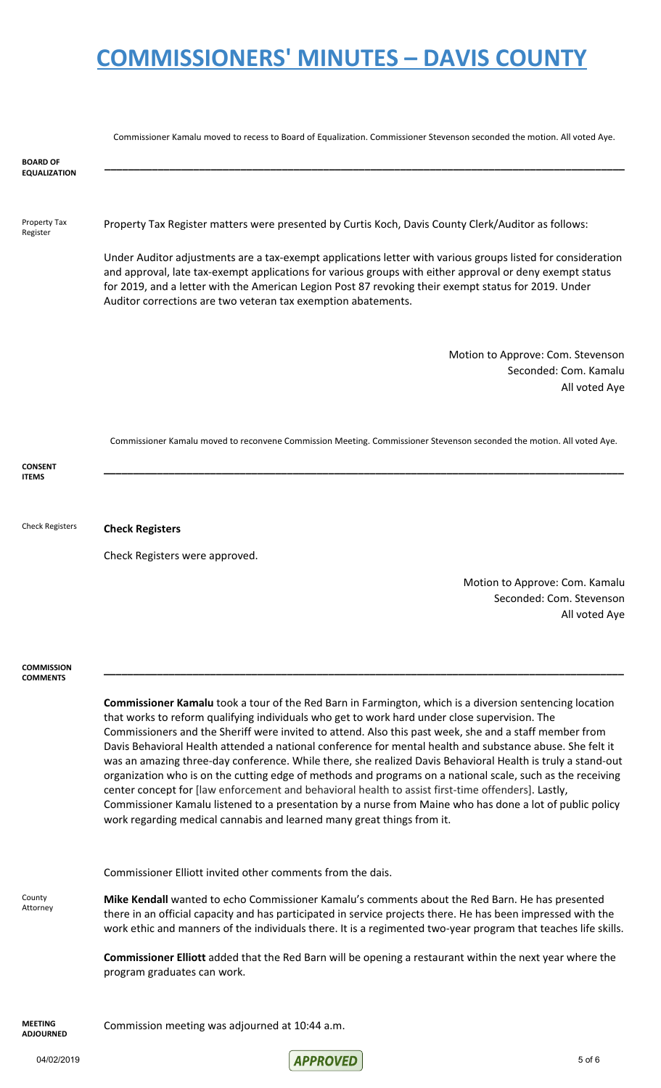|                                        | Commissioner Kamalu moved to recess to Board of Equalization. Commissioner Stevenson seconded the motion. All voted Aye.                                                                                                                                                                                                                                                                                                                                                                                                                                                                                                                                                                                                                                                                                                                                                                                                                                        |
|----------------------------------------|-----------------------------------------------------------------------------------------------------------------------------------------------------------------------------------------------------------------------------------------------------------------------------------------------------------------------------------------------------------------------------------------------------------------------------------------------------------------------------------------------------------------------------------------------------------------------------------------------------------------------------------------------------------------------------------------------------------------------------------------------------------------------------------------------------------------------------------------------------------------------------------------------------------------------------------------------------------------|
| <b>BOARD OF</b><br><b>EQUALIZATION</b> |                                                                                                                                                                                                                                                                                                                                                                                                                                                                                                                                                                                                                                                                                                                                                                                                                                                                                                                                                                 |
| Property Tax<br>Register               | Property Tax Register matters were presented by Curtis Koch, Davis County Clerk/Auditor as follows:                                                                                                                                                                                                                                                                                                                                                                                                                                                                                                                                                                                                                                                                                                                                                                                                                                                             |
|                                        | Under Auditor adjustments are a tax-exempt applications letter with various groups listed for consideration<br>and approval, late tax-exempt applications for various groups with either approval or deny exempt status<br>for 2019, and a letter with the American Legion Post 87 revoking their exempt status for 2019. Under<br>Auditor corrections are two veteran tax exemption abatements.                                                                                                                                                                                                                                                                                                                                                                                                                                                                                                                                                                |
|                                        | Motion to Approve: Com. Stevenson<br>Seconded: Com. Kamalu<br>All voted Aye                                                                                                                                                                                                                                                                                                                                                                                                                                                                                                                                                                                                                                                                                                                                                                                                                                                                                     |
|                                        | Commissioner Kamalu moved to reconvene Commission Meeting. Commissioner Stevenson seconded the motion. All voted Aye.                                                                                                                                                                                                                                                                                                                                                                                                                                                                                                                                                                                                                                                                                                                                                                                                                                           |
| <b>CONSENT</b><br><b>ITEMS</b>         |                                                                                                                                                                                                                                                                                                                                                                                                                                                                                                                                                                                                                                                                                                                                                                                                                                                                                                                                                                 |
| <b>Check Registers</b>                 | <b>Check Registers</b>                                                                                                                                                                                                                                                                                                                                                                                                                                                                                                                                                                                                                                                                                                                                                                                                                                                                                                                                          |
|                                        | Check Registers were approved.                                                                                                                                                                                                                                                                                                                                                                                                                                                                                                                                                                                                                                                                                                                                                                                                                                                                                                                                  |
|                                        | Motion to Approve: Com. Kamalu<br>Seconded: Com. Stevenson<br>All voted Aye                                                                                                                                                                                                                                                                                                                                                                                                                                                                                                                                                                                                                                                                                                                                                                                                                                                                                     |
| <b>COMMISSION</b><br><b>COMMENTS</b>   |                                                                                                                                                                                                                                                                                                                                                                                                                                                                                                                                                                                                                                                                                                                                                                                                                                                                                                                                                                 |
|                                        | <b>Commissioner Kamalu</b> took a tour of the Red Barn in Farmington, which is a diversion sentencing location<br>that works to reform qualifying individuals who get to work hard under close supervision. The<br>Commissioners and the Sheriff were invited to attend. Also this past week, she and a staff member from<br>Davis Behavioral Health attended a national conference for mental health and substance abuse. She felt it<br>was an amazing three-day conference. While there, she realized Davis Behavioral Health is truly a stand-out<br>organization who is on the cutting edge of methods and programs on a national scale, such as the receiving<br>center concept for [law enforcement and behavioral health to assist first-time offenders]. Lastly,<br>Commissioner Kamalu listened to a presentation by a nurse from Maine who has done a lot of public policy<br>work regarding medical cannabis and learned many great things from it. |
|                                        | Commissioner Elliott invited other comments from the dais.                                                                                                                                                                                                                                                                                                                                                                                                                                                                                                                                                                                                                                                                                                                                                                                                                                                                                                      |
| County<br>Attorney                     | Mike Kendall wanted to echo Commissioner Kamalu's comments about the Red Barn. He has presented<br>there in an official capacity and has participated in service projects there. He has been impressed with the<br>work ethic and manners of the individuals there. It is a regimented two-year program that teaches life skills.                                                                                                                                                                                                                                                                                                                                                                                                                                                                                                                                                                                                                               |
|                                        | Commissioner Elliott added that the Red Barn will be opening a restaurant within the next year where the<br>program graduates can work.                                                                                                                                                                                                                                                                                                                                                                                                                                                                                                                                                                                                                                                                                                                                                                                                                         |
| <b>MEETING</b><br><b>ADJOURNED</b>     | Commission meeting was adjourned at 10:44 a.m.                                                                                                                                                                                                                                                                                                                                                                                                                                                                                                                                                                                                                                                                                                                                                                                                                                                                                                                  |

04/02/2019 5 of 6